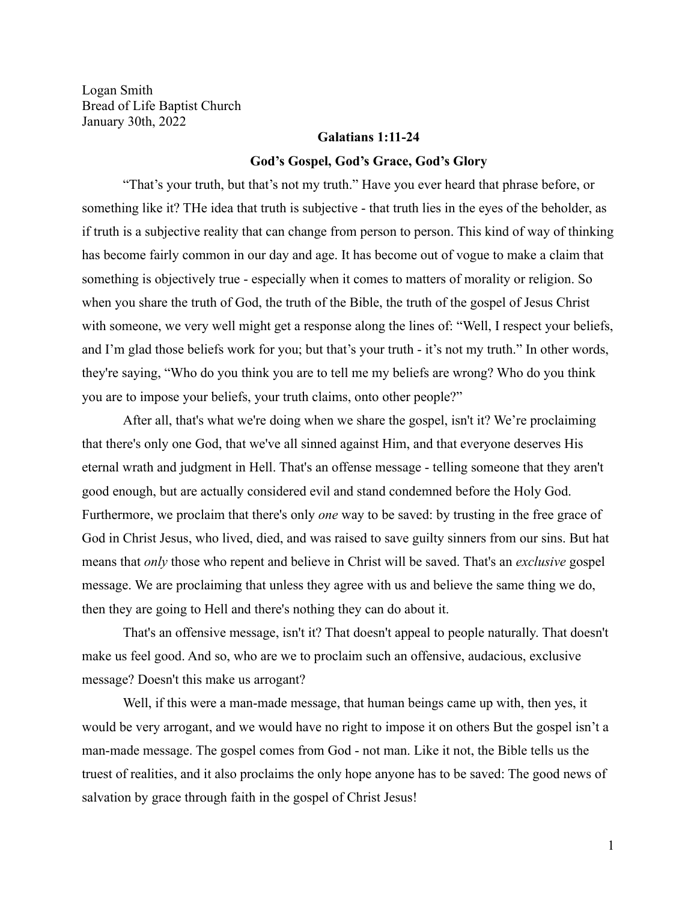Logan Smith Bread of Life Baptist Church January 30th, 2022

## **Galatians 1:11-24**

## **God's Gospel, God's Grace, God's Glory**

"That's your truth, but that's not my truth." Have you ever heard that phrase before, or something like it? THe idea that truth is subjective - that truth lies in the eyes of the beholder, as if truth is a subjective reality that can change from person to person. This kind of way of thinking has become fairly common in our day and age. It has become out of vogue to make a claim that something is objectively true - especially when it comes to matters of morality or religion. So when you share the truth of God, the truth of the Bible, the truth of the gospel of Jesus Christ with someone, we very well might get a response along the lines of: "Well, I respect your beliefs, and I'm glad those beliefs work for you; but that's your truth - it's not my truth." In other words, they're saying, "Who do you think you are to tell me my beliefs are wrong? Who do you think you are to impose your beliefs, your truth claims, onto other people?"

After all, that's what we're doing when we share the gospel, isn't it? We're proclaiming that there's only one God, that we've all sinned against Him, and that everyone deserves His eternal wrath and judgment in Hell. That's an offense message - telling someone that they aren't good enough, but are actually considered evil and stand condemned before the Holy God. Furthermore, we proclaim that there's only *one* way to be saved: by trusting in the free grace of God in Christ Jesus, who lived, died, and was raised to save guilty sinners from our sins. But hat means that *only* those who repent and believe in Christ will be saved. That's an *exclusive* gospel message. We are proclaiming that unless they agree with us and believe the same thing we do, then they are going to Hell and there's nothing they can do about it.

That's an offensive message, isn't it? That doesn't appeal to people naturally. That doesn't make us feel good. And so, who are we to proclaim such an offensive, audacious, exclusive message? Doesn't this make us arrogant?

Well, if this were a man-made message, that human beings came up with, then yes, it would be very arrogant, and we would have no right to impose it on others But the gospel isn't a man-made message. The gospel comes from God - not man. Like it not, the Bible tells us the truest of realities, and it also proclaims the only hope anyone has to be saved: The good news of salvation by grace through faith in the gospel of Christ Jesus!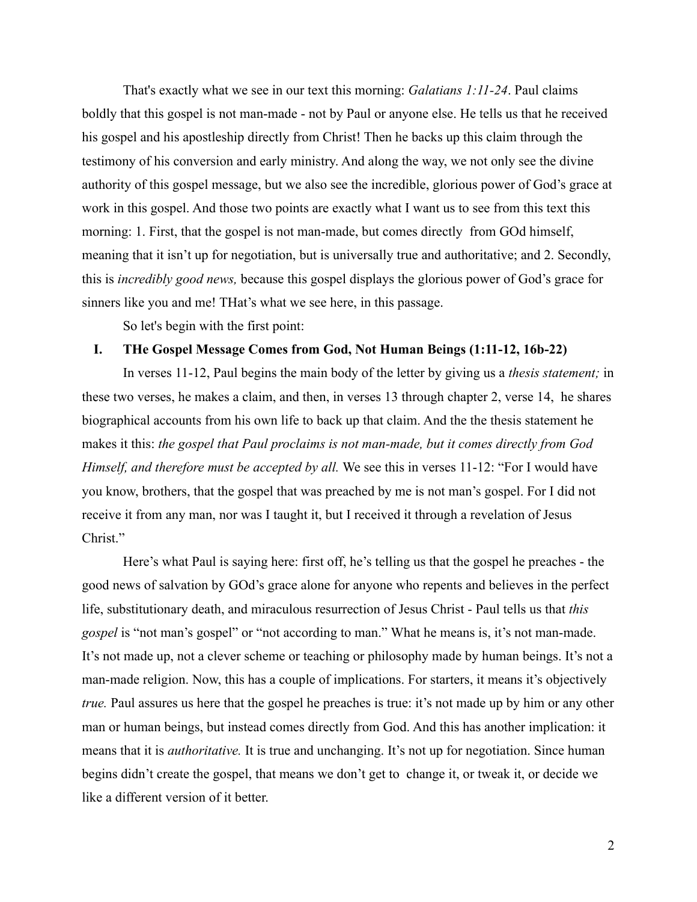That's exactly what we see in our text this morning: *Galatians 1:11-24*. Paul claims boldly that this gospel is not man-made - not by Paul or anyone else. He tells us that he received his gospel and his apostleship directly from Christ! Then he backs up this claim through the testimony of his conversion and early ministry. And along the way, we not only see the divine authority of this gospel message, but we also see the incredible, glorious power of God's grace at work in this gospel. And those two points are exactly what I want us to see from this text this morning: 1. First, that the gospel is not man-made, but comes directly from GOd himself, meaning that it isn't up for negotiation, but is universally true and authoritative; and 2. Secondly, this is *incredibly good news,* because this gospel displays the glorious power of God's grace for sinners like you and me! THat's what we see here, in this passage.

So let's begin with the first point:

## **I. THe Gospel Message Comes from God, Not Human Beings (1:11-12, 16b-22)**

In verses 11-12, Paul begins the main body of the letter by giving us a *thesis statement;* in these two verses, he makes a claim, and then, in verses 13 through chapter 2, verse 14, he shares biographical accounts from his own life to back up that claim. And the the thesis statement he makes it this: *the gospel that Paul proclaims is not man-made, but it comes directly from God Himself, and therefore must be accepted by all.* We see this in verses 11-12: "For I would have you know, brothers, that the gospel that was preached by me is not man's gospel. For I did not receive it from any man, nor was I taught it, but I received it through a revelation of Jesus Christ."

Here's what Paul is saying here: first off, he's telling us that the gospel he preaches - the good news of salvation by GOd's grace alone for anyone who repents and believes in the perfect life, substitutionary death, and miraculous resurrection of Jesus Christ - Paul tells us that *this gospel* is "not man's gospel" or "not according to man." What he means is, it's not man-made. It's not made up, not a clever scheme or teaching or philosophy made by human beings. It's not a man-made religion. Now, this has a couple of implications. For starters, it means it's objectively *true.* Paul assures us here that the gospel he preaches is true: it's not made up by him or any other man or human beings, but instead comes directly from God. And this has another implication: it means that it is *authoritative.* It is true and unchanging. It's not up for negotiation. Since human begins didn't create the gospel, that means we don't get to change it, or tweak it, or decide we like a different version of it better.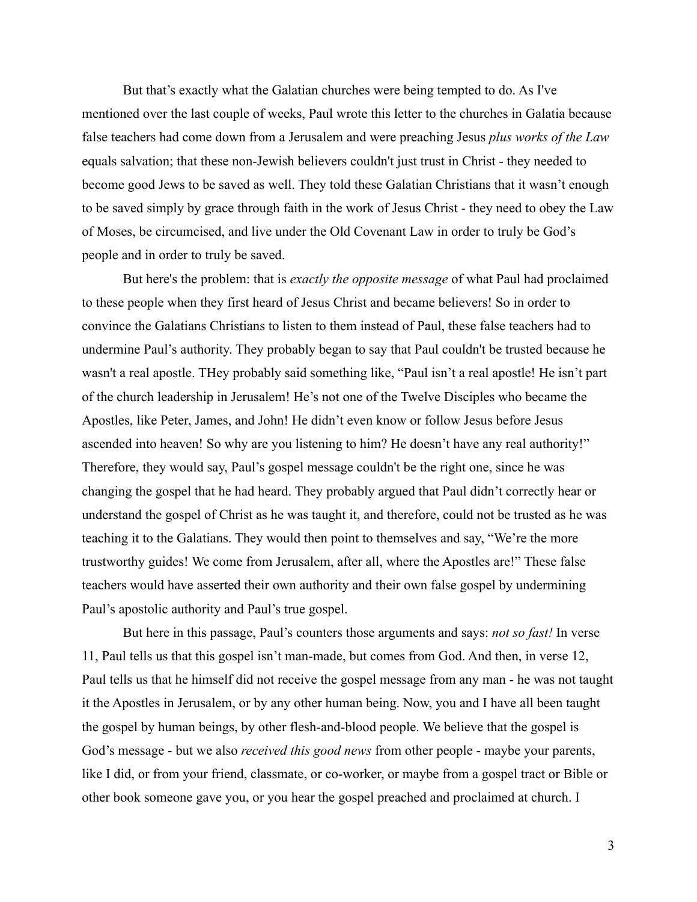But that's exactly what the Galatian churches were being tempted to do. As I've mentioned over the last couple of weeks, Paul wrote this letter to the churches in Galatia because false teachers had come down from a Jerusalem and were preaching Jesus *plus works of the Law* equals salvation; that these non-Jewish believers couldn't just trust in Christ - they needed to become good Jews to be saved as well. They told these Galatian Christians that it wasn't enough to be saved simply by grace through faith in the work of Jesus Christ - they need to obey the Law of Moses, be circumcised, and live under the Old Covenant Law in order to truly be God's people and in order to truly be saved.

But here's the problem: that is *exactly the opposite message* of what Paul had proclaimed to these people when they first heard of Jesus Christ and became believers! So in order to convince the Galatians Christians to listen to them instead of Paul, these false teachers had to undermine Paul's authority. They probably began to say that Paul couldn't be trusted because he wasn't a real apostle. THey probably said something like, "Paul isn't a real apostle! He isn't part of the church leadership in Jerusalem! He's not one of the Twelve Disciples who became the Apostles, like Peter, James, and John! He didn't even know or follow Jesus before Jesus ascended into heaven! So why are you listening to him? He doesn't have any real authority!" Therefore, they would say, Paul's gospel message couldn't be the right one, since he was changing the gospel that he had heard. They probably argued that Paul didn't correctly hear or understand the gospel of Christ as he was taught it, and therefore, could not be trusted as he was teaching it to the Galatians. They would then point to themselves and say, "We're the more trustworthy guides! We come from Jerusalem, after all, where the Apostles are!" These false teachers would have asserted their own authority and their own false gospel by undermining Paul's apostolic authority and Paul's true gospel.

But here in this passage, Paul's counters those arguments and says: *not so fast!* In verse 11, Paul tells us that this gospel isn't man-made, but comes from God. And then, in verse 12, Paul tells us that he himself did not receive the gospel message from any man - he was not taught it the Apostles in Jerusalem, or by any other human being. Now, you and I have all been taught the gospel by human beings, by other flesh-and-blood people. We believe that the gospel is God's message - but we also *received this good news* from other people - maybe your parents, like I did, or from your friend, classmate, or co-worker, or maybe from a gospel tract or Bible or other book someone gave you, or you hear the gospel preached and proclaimed at church. I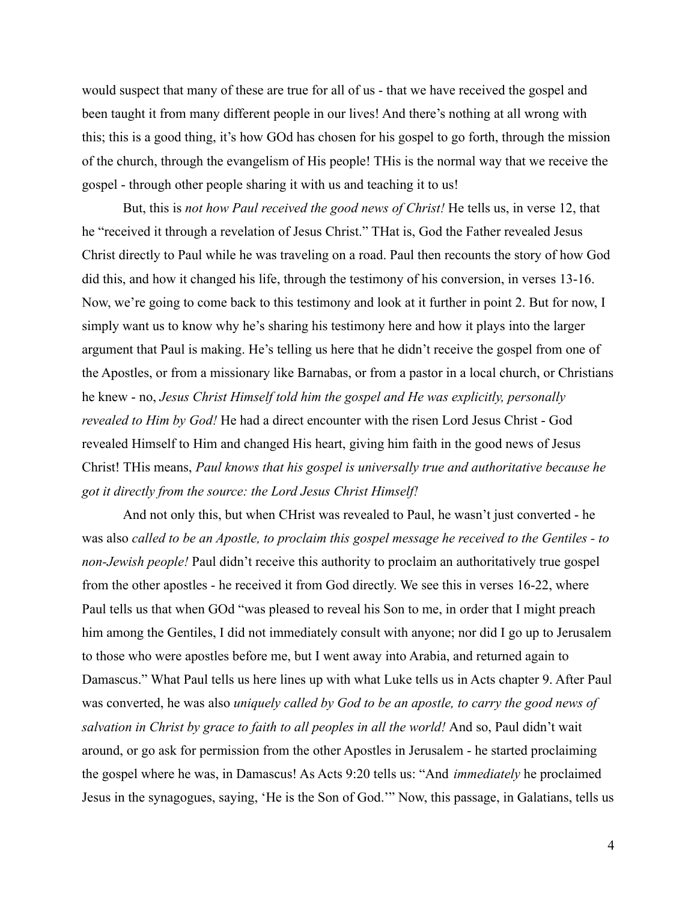would suspect that many of these are true for all of us - that we have received the gospel and been taught it from many different people in our lives! And there's nothing at all wrong with this; this is a good thing, it's how GOd has chosen for his gospel to go forth, through the mission of the church, through the evangelism of His people! THis is the normal way that we receive the gospel - through other people sharing it with us and teaching it to us!

But, this is *not how Paul received the good news of Christ!* He tells us, in verse 12, that he "received it through a revelation of Jesus Christ." THat is, God the Father revealed Jesus Christ directly to Paul while he was traveling on a road. Paul then recounts the story of how God did this, and how it changed his life, through the testimony of his conversion, in verses 13-16. Now, we're going to come back to this testimony and look at it further in point 2. But for now, I simply want us to know why he's sharing his testimony here and how it plays into the larger argument that Paul is making. He's telling us here that he didn't receive the gospel from one of the Apostles, or from a missionary like Barnabas, or from a pastor in a local church, or Christians he knew - no, *Jesus Christ Himself told him the gospel and He was explicitly, personally revealed to Him by God!* He had a direct encounter with the risen Lord Jesus Christ - God revealed Himself to Him and changed His heart, giving him faith in the good news of Jesus Christ! THis means, *Paul knows that his gospel is universally true and authoritative because he got it directly from the source: the Lord Jesus Christ Himself!*

And not only this, but when CHrist was revealed to Paul, he wasn't just converted - he was also *called to be an Apostle, to proclaim this gospel message he received to the Gentiles - to non-Jewish people!* Paul didn't receive this authority to proclaim an authoritatively true gospel from the other apostles - he received it from God directly. We see this in verses 16-22, where Paul tells us that when GOd "was pleased to reveal his Son to me, in order that I might preach him among the Gentiles, I did not immediately consult with anyone; nor did I go up to Jerusalem to those who were apostles before me, but I went away into Arabia, and returned again to Damascus." What Paul tells us here lines up with what Luke tells us in Acts chapter 9. After Paul was converted, he was also *uniquely called by God to be an apostle, to carry the good news of salvation in Christ by grace to faith to all peoples in all the world!* And so, Paul didn't wait around, or go ask for permission from the other Apostles in Jerusalem - he started proclaiming the gospel where he was, in Damascus! As Acts 9:20 tells us: "And *immediately* he proclaimed Jesus in the synagogues, saying, 'He is the Son of God.'" Now, this passage, in Galatians, tells us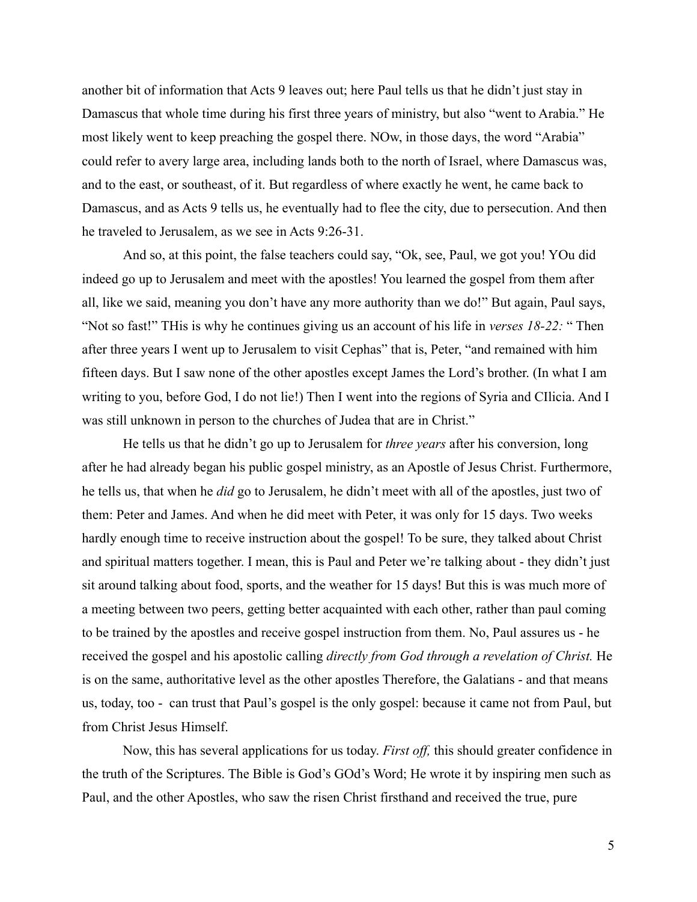another bit of information that Acts 9 leaves out; here Paul tells us that he didn't just stay in Damascus that whole time during his first three years of ministry, but also "went to Arabia." He most likely went to keep preaching the gospel there. NOw, in those days, the word "Arabia" could refer to avery large area, including lands both to the north of Israel, where Damascus was, and to the east, or southeast, of it. But regardless of where exactly he went, he came back to Damascus, and as Acts 9 tells us, he eventually had to flee the city, due to persecution. And then he traveled to Jerusalem, as we see in Acts 9:26-31.

And so, at this point, the false teachers could say, "Ok, see, Paul, we got you! YOu did indeed go up to Jerusalem and meet with the apostles! You learned the gospel from them after all, like we said, meaning you don't have any more authority than we do!" But again, Paul says, "Not so fast!" THis is why he continues giving us an account of his life in *verses 18-22:* " Then after three years I went up to Jerusalem to visit Cephas" that is, Peter, "and remained with him fifteen days. But I saw none of the other apostles except James the Lord's brother. (In what I am writing to you, before God, I do not lie!) Then I went into the regions of Syria and CIlicia. And I was still unknown in person to the churches of Judea that are in Christ."

He tells us that he didn't go up to Jerusalem for *three years* after his conversion, long after he had already began his public gospel ministry, as an Apostle of Jesus Christ. Furthermore, he tells us, that when he *did* go to Jerusalem, he didn't meet with all of the apostles, just two of them: Peter and James. And when he did meet with Peter, it was only for 15 days. Two weeks hardly enough time to receive instruction about the gospel! To be sure, they talked about Christ and spiritual matters together. I mean, this is Paul and Peter we're talking about - they didn't just sit around talking about food, sports, and the weather for 15 days! But this is was much more of a meeting between two peers, getting better acquainted with each other, rather than paul coming to be trained by the apostles and receive gospel instruction from them. No, Paul assures us - he received the gospel and his apostolic calling *directly from God through a revelation of Christ.* He is on the same, authoritative level as the other apostles Therefore, the Galatians - and that means us, today, too - can trust that Paul's gospel is the only gospel: because it came not from Paul, but from Christ Jesus Himself.

Now, this has several applications for us today. *First off,* this should greater confidence in the truth of the Scriptures. The Bible is God's GOd's Word; He wrote it by inspiring men such as Paul, and the other Apostles, who saw the risen Christ firsthand and received the true, pure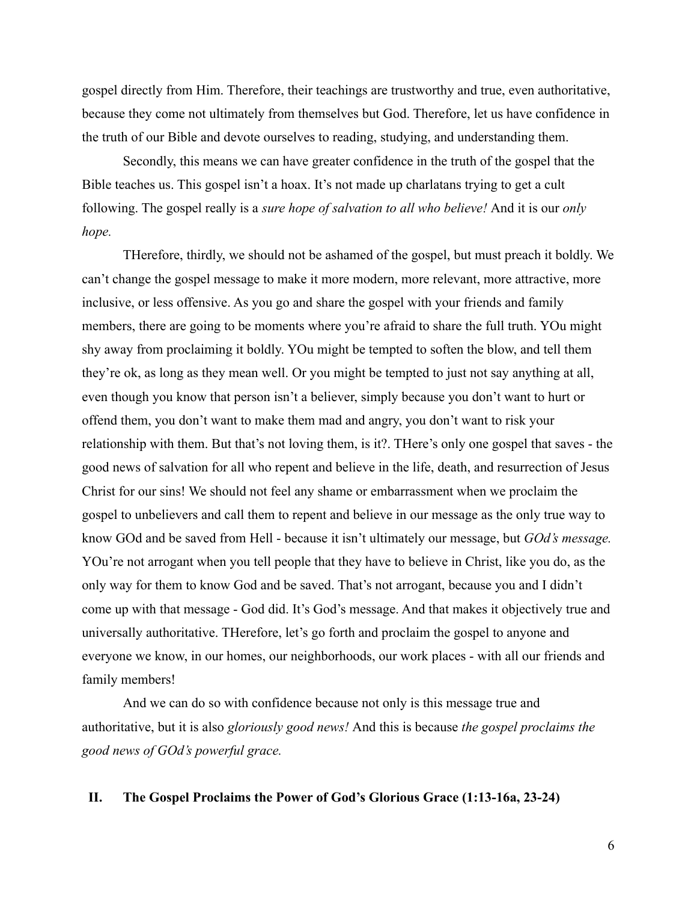gospel directly from Him. Therefore, their teachings are trustworthy and true, even authoritative, because they come not ultimately from themselves but God. Therefore, let us have confidence in the truth of our Bible and devote ourselves to reading, studying, and understanding them.

Secondly, this means we can have greater confidence in the truth of the gospel that the Bible teaches us. This gospel isn't a hoax. It's not made up charlatans trying to get a cult following. The gospel really is a *sure hope of salvation to all who believe!* And it is our *only hope.*

THerefore, thirdly, we should not be ashamed of the gospel, but must preach it boldly. We can't change the gospel message to make it more modern, more relevant, more attractive, more inclusive, or less offensive. As you go and share the gospel with your friends and family members, there are going to be moments where you're afraid to share the full truth. YOu might shy away from proclaiming it boldly. YOu might be tempted to soften the blow, and tell them they're ok, as long as they mean well. Or you might be tempted to just not say anything at all, even though you know that person isn't a believer, simply because you don't want to hurt or offend them, you don't want to make them mad and angry, you don't want to risk your relationship with them. But that's not loving them, is it?. THere's only one gospel that saves - the good news of salvation for all who repent and believe in the life, death, and resurrection of Jesus Christ for our sins! We should not feel any shame or embarrassment when we proclaim the gospel to unbelievers and call them to repent and believe in our message as the only true way to know GOd and be saved from Hell - because it isn't ultimately our message, but *GOd's message.* YOu're not arrogant when you tell people that they have to believe in Christ, like you do, as the only way for them to know God and be saved. That's not arrogant, because you and I didn't come up with that message - God did. It's God's message. And that makes it objectively true and universally authoritative. THerefore, let's go forth and proclaim the gospel to anyone and everyone we know, in our homes, our neighborhoods, our work places - with all our friends and family members!

And we can do so with confidence because not only is this message true and authoritative, but it is also *gloriously good news!* And this is because *the gospel proclaims the good news of GOd's powerful grace.*

## **II. The Gospel Proclaims the Power of God's Glorious Grace (1:13-16a, 23-24)**

6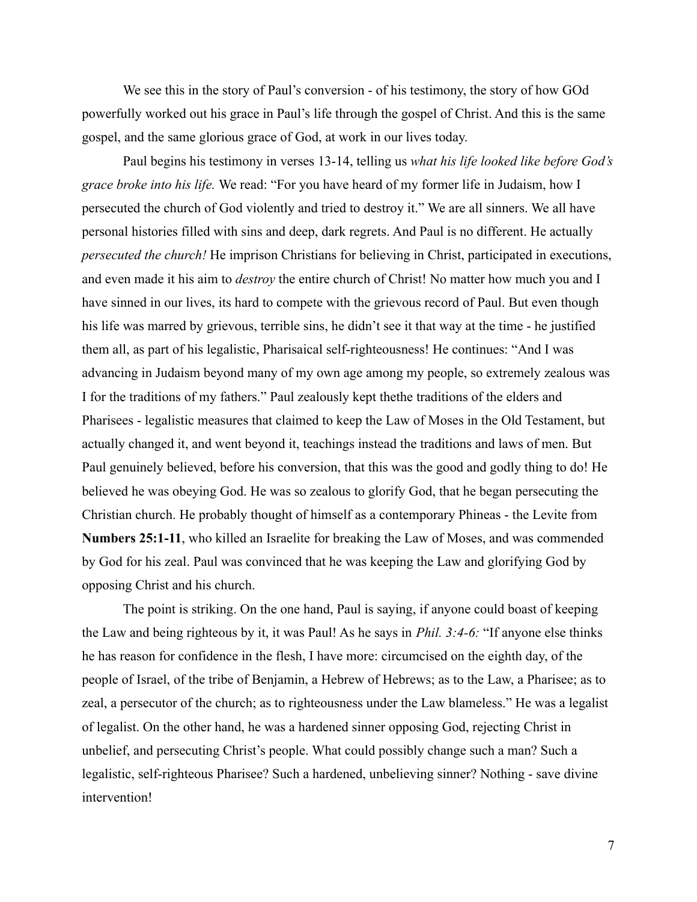We see this in the story of Paul's conversion - of his testimony, the story of how GOd powerfully worked out his grace in Paul's life through the gospel of Christ. And this is the same gospel, and the same glorious grace of God, at work in our lives today.

Paul begins his testimony in verses 13-14, telling us *what his life looked like before God's grace broke into his life.* We read: "For you have heard of my former life in Judaism, how I persecuted the church of God violently and tried to destroy it." We are all sinners. We all have personal histories filled with sins and deep, dark regrets. And Paul is no different. He actually *persecuted the church!* He imprison Christians for believing in Christ, participated in executions, and even made it his aim to *destroy* the entire church of Christ! No matter how much you and I have sinned in our lives, its hard to compete with the grievous record of Paul. But even though his life was marred by grievous, terrible sins, he didn't see it that way at the time - he justified them all, as part of his legalistic, Pharisaical self-righteousness! He continues: "And I was advancing in Judaism beyond many of my own age among my people, so extremely zealous was I for the traditions of my fathers." Paul zealously kept thethe traditions of the elders and Pharisees - legalistic measures that claimed to keep the Law of Moses in the Old Testament, but actually changed it, and went beyond it, teachings instead the traditions and laws of men. But Paul genuinely believed, before his conversion, that this was the good and godly thing to do! He believed he was obeying God. He was so zealous to glorify God, that he began persecuting the Christian church. He probably thought of himself as a contemporary Phineas - the Levite from **Numbers 25:1-11**, who killed an Israelite for breaking the Law of Moses, and was commended by God for his zeal. Paul was convinced that he was keeping the Law and glorifying God by opposing Christ and his church.

The point is striking. On the one hand, Paul is saying, if anyone could boast of keeping the Law and being righteous by it, it was Paul! As he says in *Phil. 3:4-6:* "If anyone else thinks he has reason for confidence in the flesh, I have more: circumcised on the eighth day, of the people of Israel, of the tribe of Benjamin, a Hebrew of Hebrews; as to the Law, a Pharisee; as to zeal, a persecutor of the church; as to righteousness under the Law blameless." He was a legalist of legalist. On the other hand, he was a hardened sinner opposing God, rejecting Christ in unbelief, and persecuting Christ's people. What could possibly change such a man? Such a legalistic, self-righteous Pharisee? Such a hardened, unbelieving sinner? Nothing - save divine intervention!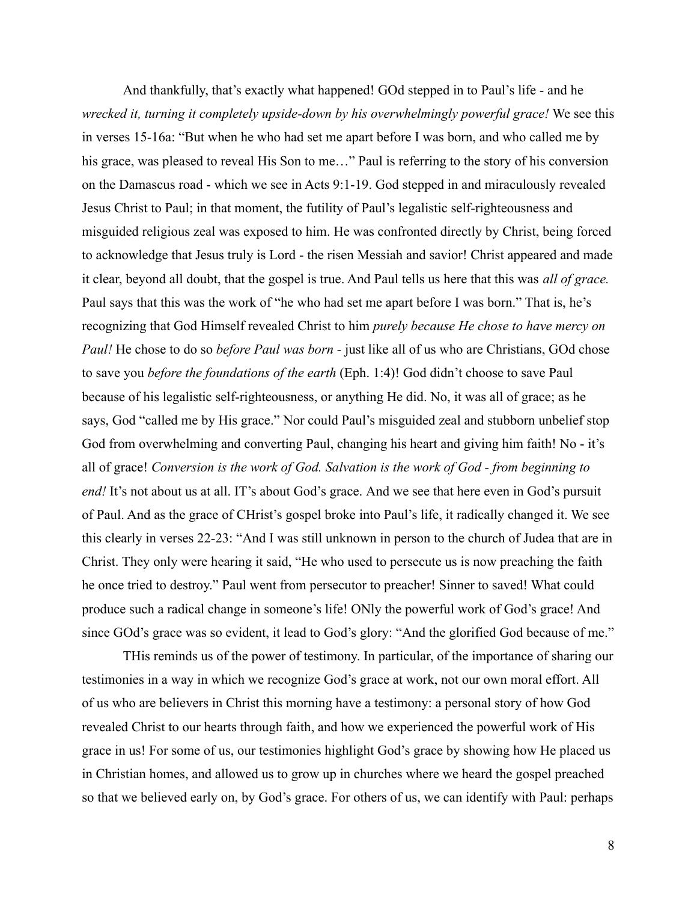And thankfully, that's exactly what happened! GOd stepped in to Paul's life - and he *wrecked it, turning it completely upside-down by his overwhelmingly powerful grace!* We see this in verses 15-16a: "But when he who had set me apart before I was born, and who called me by his grace, was pleased to reveal His Son to me..." Paul is referring to the story of his conversion on the Damascus road - which we see in Acts 9:1-19. God stepped in and miraculously revealed Jesus Christ to Paul; in that moment, the futility of Paul's legalistic self-righteousness and misguided religious zeal was exposed to him. He was confronted directly by Christ, being forced to acknowledge that Jesus truly is Lord - the risen Messiah and savior! Christ appeared and made it clear, beyond all doubt, that the gospel is true. And Paul tells us here that this was *all of grace.* Paul says that this was the work of "he who had set me apart before I was born." That is, he's recognizing that God Himself revealed Christ to him *purely because He chose to have mercy on Paul!* He chose to do so *before Paul was born -* just like all of us who are Christians, GOd chose to save you *before the foundations of the earth* (Eph. 1:4)! God didn't choose to save Paul because of his legalistic self-righteousness, or anything He did. No, it was all of grace; as he says, God "called me by His grace." Nor could Paul's misguided zeal and stubborn unbelief stop God from overwhelming and converting Paul, changing his heart and giving him faith! No - it's all of grace! *Conversion is the work of God. Salvation is the work of God - from beginning to end!* It's not about us at all. IT's about God's grace. And we see that here even in God's pursuit of Paul. And as the grace of CHrist's gospel broke into Paul's life, it radically changed it. We see this clearly in verses 22-23: "And I was still unknown in person to the church of Judea that are in Christ. They only were hearing it said, "He who used to persecute us is now preaching the faith he once tried to destroy." Paul went from persecutor to preacher! Sinner to saved! What could produce such a radical change in someone's life! ONly the powerful work of God's grace! And since GOd's grace was so evident, it lead to God's glory: "And the glorified God because of me."

THis reminds us of the power of testimony. In particular, of the importance of sharing our testimonies in a way in which we recognize God's grace at work, not our own moral effort. All of us who are believers in Christ this morning have a testimony: a personal story of how God revealed Christ to our hearts through faith, and how we experienced the powerful work of His grace in us! For some of us, our testimonies highlight God's grace by showing how He placed us in Christian homes, and allowed us to grow up in churches where we heard the gospel preached so that we believed early on, by God's grace. For others of us, we can identify with Paul: perhaps